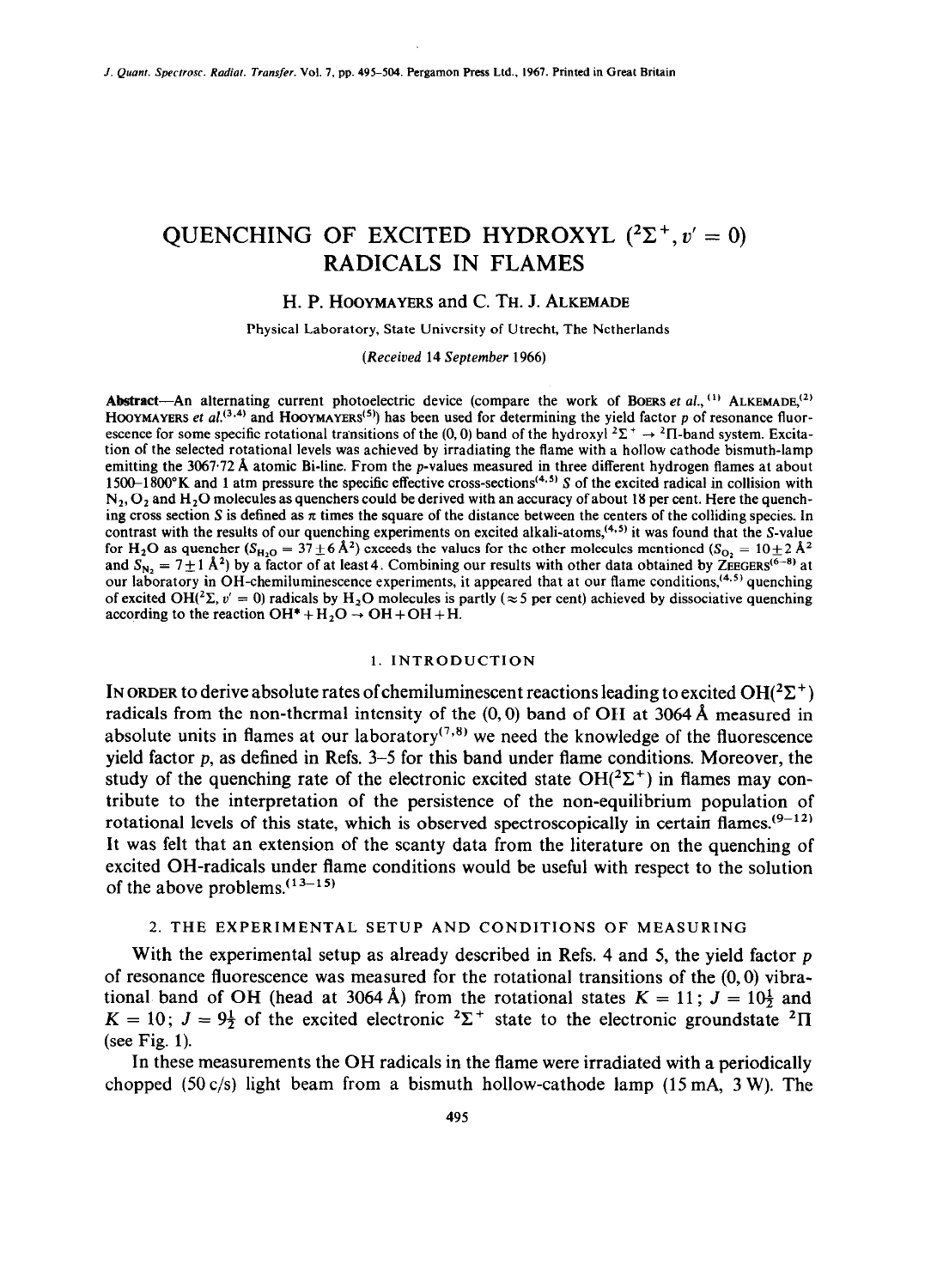# OUENCHING OF EXCITED HYDROXYL  $(^{2}\Sigma^{+}, v' = 0)$ RADICALS IN FLAMES

### H. P. HOOYMAYERS and C. TH. J. ALKEMADE

Physical Laboratory, State University of Utrecht, The Netherlands

*(Received* 14 *September* 1966)

Abstract-An alternating current photoelectric device (compare the work of BOERS *et al.*, <sup>(1)</sup> ALKEMADE,<sup>(2)</sup> HOOYMAYERS *et al.*<sup>(3,4)</sup> and **HOOYMAYERS<sup>(5)</sup>)** has been used for determining the yield factor p of resonance fluorescence for some specific rotational transitions of the (0, 0) band of the hydroxyl  $2\Sigma^+ \rightarrow 2\Pi$ -band system. Excitation of the selected rotational levels was achieved by irradiating the flame with a hollow cathode bismuth-lamp emitting the 3067.72 Å atomic Bi-line. From the p-values measured in three different hydrogen flames at about 1500-1800°K and 1 atm pressure the specific effective cross-sections<sup>(4,5)</sup> S of the excited radical in collision with  $N_2$ ,  $O_2$  and  $H_2O$  molecules as quenchers could be derived with an accuracy of about 18 per cent. Here the quenching cross section S is defined as  $\pi$  times the square of the distance between the centers of the colliding species. In contrast with the results of our quenching experiments on excited alkali-atoms,<sup> $(4.5)$ </sup> it was found that the S-value for H<sub>2</sub>O as quencher  $(S_{H_2O} = 37 \pm 6 \text{ A}^2)$  exceeds the values for the other molecules mentioned  $(S_{O_2} = 10 \pm 2 \text{ A}^2)$ and  $S_{N_2} = 7 \pm 1$  A<sup>2</sup>) by a factor of at least 4. Combining our results with other data obtained by ZEEGERS<sup>(0-0</sup>) at our laboratory in OH-chemiluminescence experiments, it appeared that at our flame conditions,<sup> $(4.5)$ </sup> quenching of excited OH(<sup>2</sup> $\Sigma$ ,  $v' = 0$ ) radicals by H<sub>2</sub>O molecules is partly ( $\approx$  5 per cent) achieved by dissociative quenching according to the reaction  $OH^* + H_2O \rightarrow OH + OH + H$ .

#### 1. INTRODUCTION

IN ORDER to derive absolute rates of chemiluminescent reactions leading to excited  $OH(^{2}\Sigma^{+})$ radicals from the non-thermal intensity of the  $(0,0)$  band of OH at 3064 Å measured in absolute units in flames at our laboratory<sup> $(7,8)$ </sup> we need the knowledge of the fluorescence yield factor  $p$ , as defined in Refs.  $3-5$  for this band under flame conditions. Moreover, the study of the quenching rate of the electronic excited state  $OH(^{2}\Sigma^{+})$  in flames may contribute to the interpretation of the persistence of the non-equilibrium population of rotational levels of this state, which is observed spectroscopically in certain flames.<sup>(9-12)</sup> It was felt that an extension of the scanty data from the literature on the quenching of excited OH-radicals under flame conditions would be useful with respect to the solution of the above problems. $(13-15)$ 

## 2. THE EXPERIMENTAL SETUP AND CONDITIONS OF MEASURING

With the experimental setup as already described in Refs. 4 and 5, the vield factor p of resonance fluorescence was measured for the rotational transitions of the  $(0,0)$  vibrational band of OH (head at 3064 Å) from the rotational states  $K = 11$ ;  $J = 10\frac{1}{2}$  and  $K = 10$ ;  $J = 9\frac{1}{2}$  of the excited electronic <sup>2</sup> $\Sigma$ <sup>+</sup> state to the electronic groundstate <sup>2</sup> $\Pi$ (see Fig. 1).

In these measurements the OH radicals in the flame were irradiated with a periodically chopped  $(50 \text{ c/s})$  light beam from a bismuth hollow-cathode lamp  $(15 \text{ mA}, 3 \text{ W})$ . The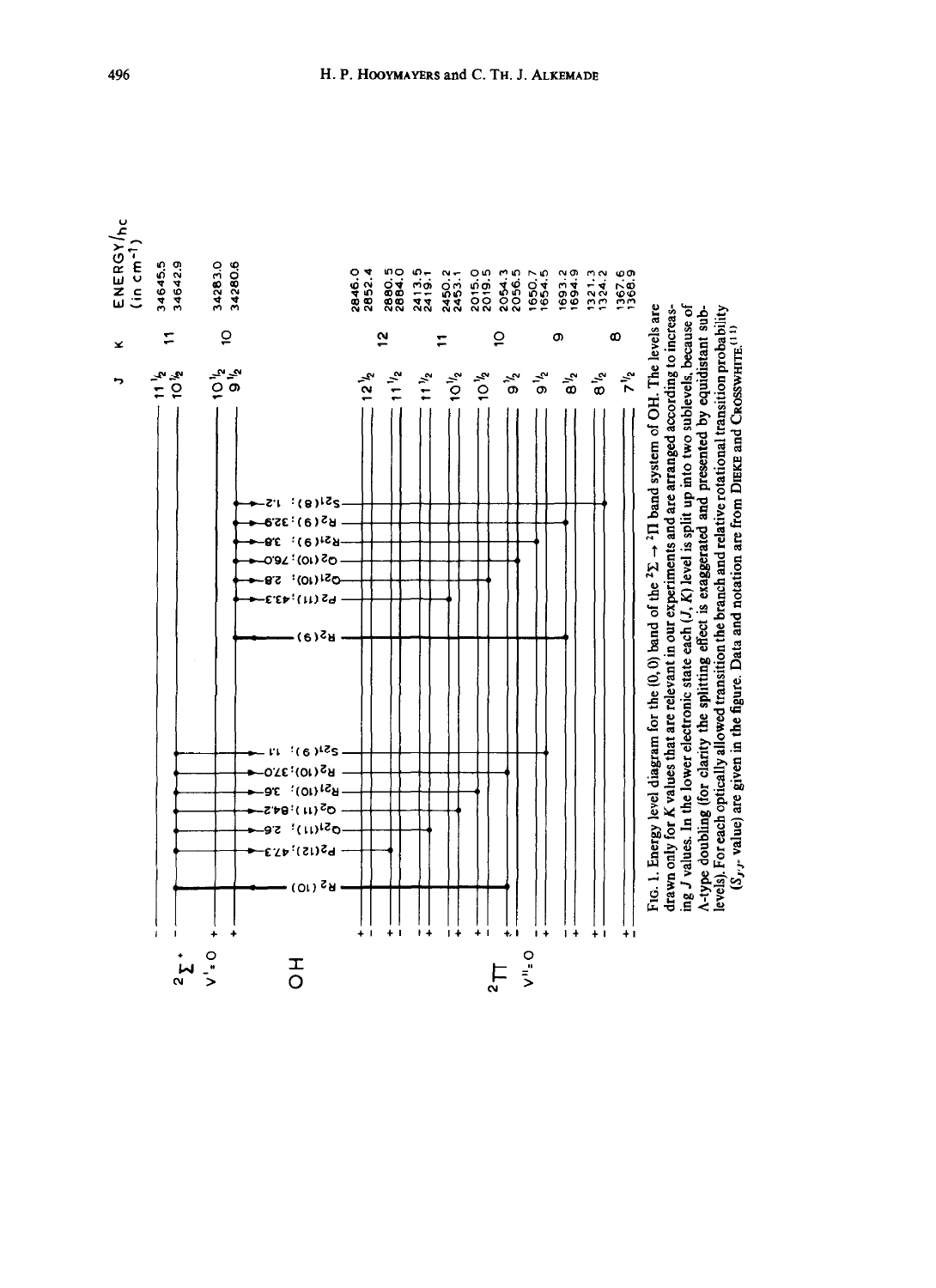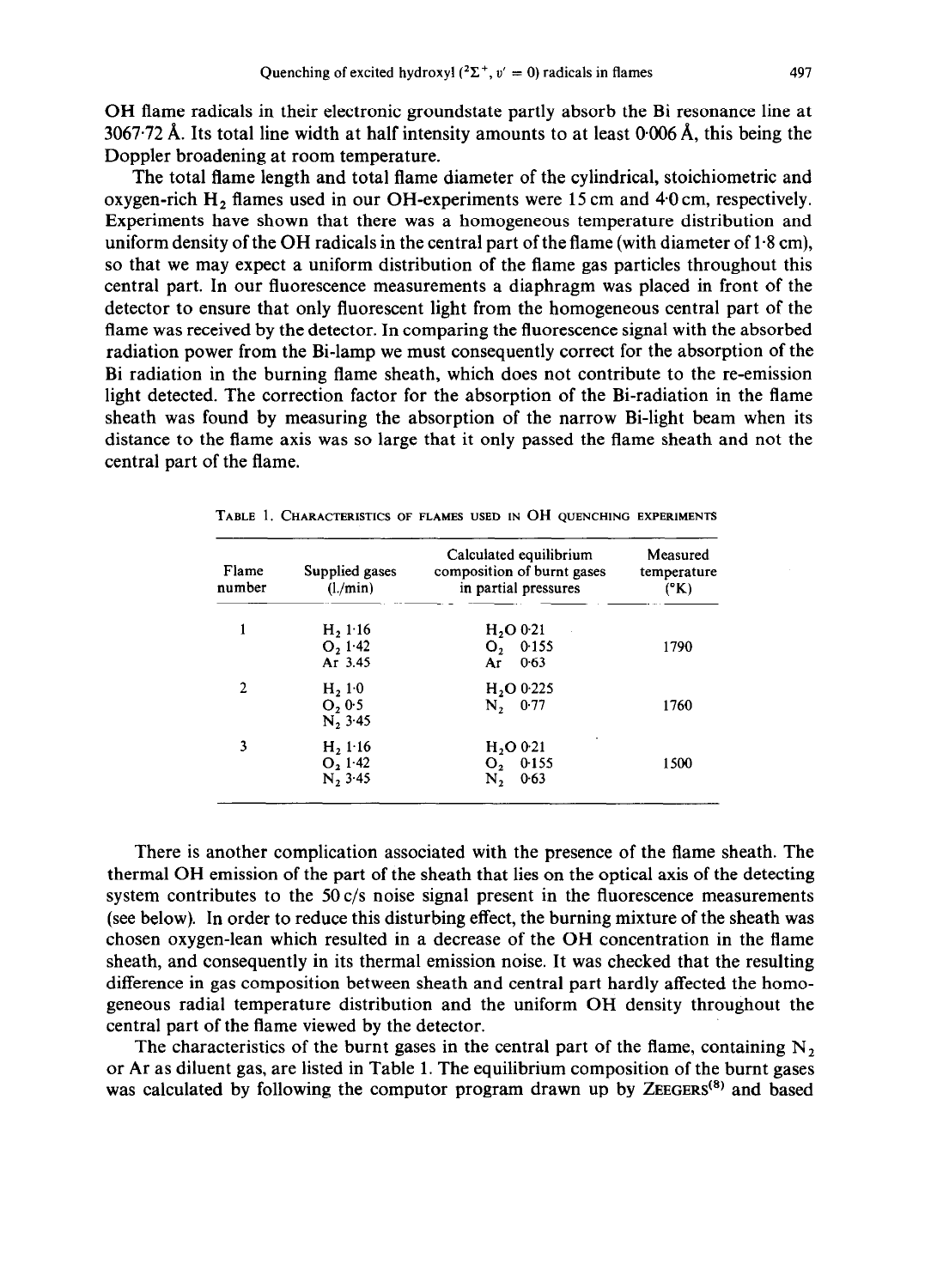OH flame radicals in their electronic groundstate partly absorb the Bi resonance line at 3067.72 Å. Its total line width at half intensity amounts to at least  $0.006 \text{ Å}$ , this being the Doppler broadening at room temperature.

The total flame length and total flame diameter of the cylindrical, stoichiometric and oxygen-rich  $H_2$  flames used in our OH-experiments were 15 cm and 4.0 cm, respectively. Experiments have shown that there was a homogeneous temperature distribution and uniform density of the OH radicals in the central part of the flame (with diameter of  $1.8 \text{ cm}$ ), so that we may expect a uniform distribution of the flame gas particles throughout this central part. In our fluorescence measurements a diaphragm was placed in front of the detector to ensure that only fluorescent light from the homogeneous central part of the flame was received by the detector. In comparing the fluorescence signal with the absorbed radiation power from the Bi-lamp we must consequently correct for the absorption of the Bi radiation in the burning flame sheath, which does not contribute to the re-emission light detected. The correction factor for the absorption of the Bi-radiation in the flame sheath was found by measuring the absorption of the narrow Bi-light beam when its distance to the flame axis was so large that it only passed the flame sheath and not the central part of the flame.

| Flame<br>number | Supplied gases<br>(l./min)                              | Calculated equilibrium<br>composition of burnt gases<br>in partial pressures | Measured<br>temperature<br>$(^{\circ}K)$ |
|-----------------|---------------------------------------------------------|------------------------------------------------------------------------------|------------------------------------------|
| 1               | H, 1.16<br>$O_2$ 1.42<br>Ar 3.45                        | H <sub>2</sub> O <sub>0</sub> 0.21<br>O, 0.155<br>0.63<br>Ar                 | 1790                                     |
| 2               | H <sub>2</sub> 1 <sub>0</sub><br>O, 0.5<br>$N_2$ , 3.45 | H <sub>20</sub> 0.225<br>N, 0.77                                             | 1760                                     |
| 3               | $H_2 1.16$<br>O, 1.42<br>N, 3.45                        | H <sub>2</sub> O <sub>0</sub> 0.21<br>$O_2$ 0.155<br>0.63<br>Ν,              | 1500                                     |

**TABLE 1. CHARACTERISTICS OF FLAMES USED IN** OH **QUENCHING EXPERIMENTS** 

There is another complication associated with the presence of the flame sheath. The thermal OH emission of the part of the sheath that lies on the optical axis of the detecting system contributes to the  $50 \text{ c/s}$  noise signal present in the fluorescence measurements (see below). In order to reduce this disturbing effect, the burning mixture of the sheath was chosen oxygen-lean which resulted in a decrease of the OH concentration in the flame sheath, and consequently in its thermal emission noise. It was checked that the resulting difference in gas composition between sheath and central part hardly affected the homogeneous radial temperature distribution and the uniform OH density throughout the central part of the flame viewed by the detector.

The characteristics of the burnt gases in the central part of the flame, containing  $N<sub>2</sub>$ or Ar as diluent gas, are listed in Table 1. The equilibrium composition of the burnt gases was calculated by following the computer program drawn up by  $\mathsf{ZEE}(\mathsf{S}^8)$  and based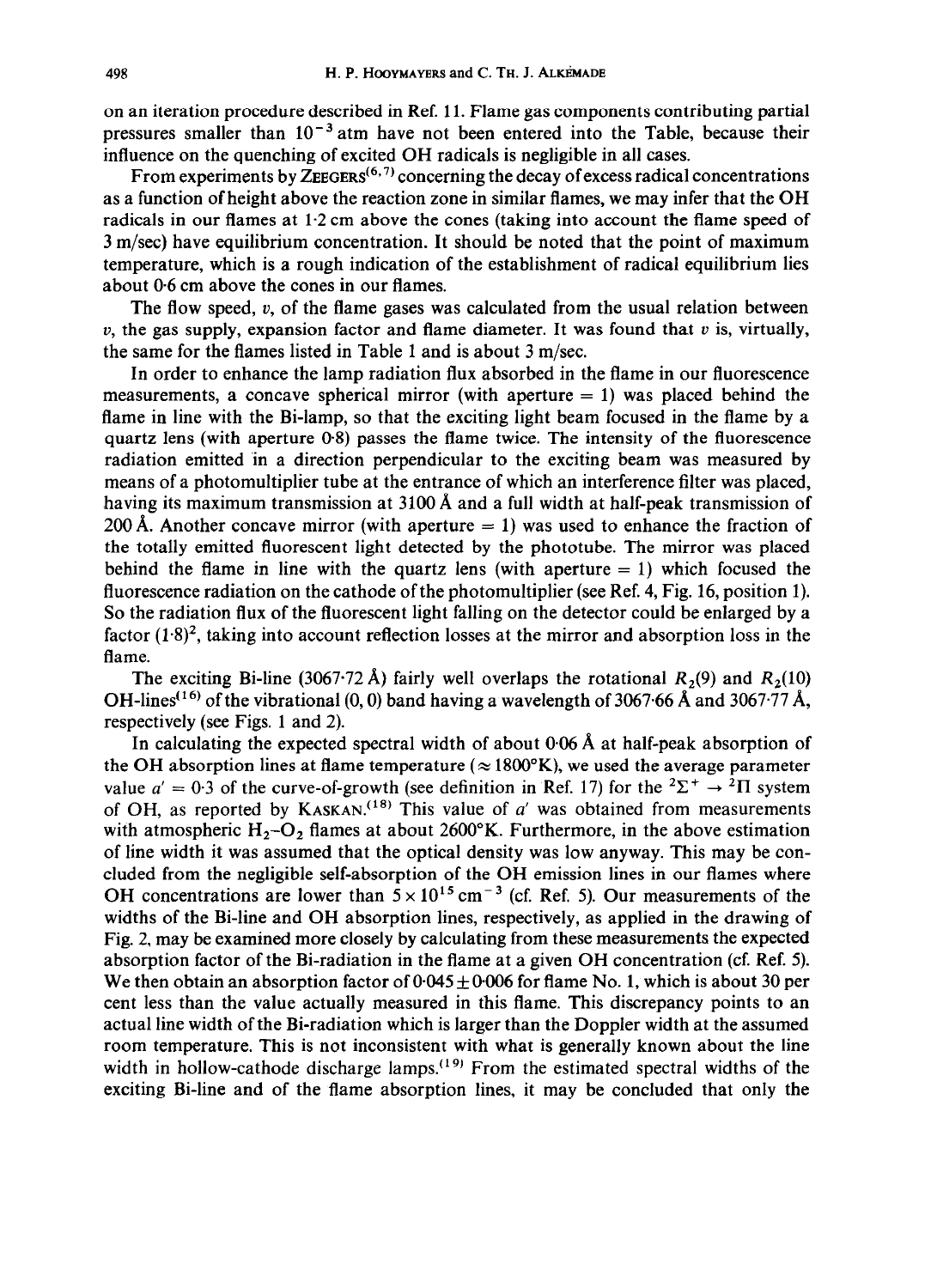on an iteration procedure described in Ref. 11. Flame gas components contributing partial pressures smaller than  $10^{-3}$  atm have not been entered into the Table, because their influence on the quenching of excited OH radicals is negligible in all cases.

From experiments by ZEEGERS<sup> $(6,7)$ </sup> concerning the decay of excess radical concentrations as a function of height above the reaction zone in similar flames, we may infer that the OH radicals in our flames at 1.2 cm above the cones (taking into account the flame speed of 3 m/set) have equilibrium concentration. It should be noted that the point of maximum temperature, which is a rough indication of the establishment of radical equilibrium lies about 0.6 cm above the cones in our flames.

The flow speed,  $v$ , of the flame gases was calculated from the usual relation between  $v$ , the gas supply, expansion factor and flame diameter. It was found that  $v$  is, virtually, the same for the flames listed in Table 1 and is about 3 m/sec.

In order to enhance the lamp radiation flux absorbed in the flame in our fluorescence measurements, a concave spherical mirror (with aperture  $= 1$ ) was placed behind the flame in line with the Bi-lamp, so that the exciting light beam focused in the flame by a quartz lens (with aperture  $0.8$ ) passes the flame twice. The intensity of the fluorescence radiation emitted In a direction perpendicular to the exciting beam was measured by means of a photomultiplier tube at the entrance of which an interference filter was placed, having its maximum transmission at 3100 Å and a full width at half-peak transmission of 200 Å. Another concave mirror (with aperture  $= 1$ ) was used to enhance the fraction of the totally emitted fluorescent light detected by the phototube. The mirror was placed behind the flame in line with the quartz lens (with aperture  $= 1$ ) which focused the fluorescence radiation on the cathode of the photomultiplier (see Ref. 4, Fig. 16, position 1). So the radiation flux of the fluorescent light falling on the detector could be enlarged by a factor  $(1.8)^2$ , taking into account reflection losses at the mirror and absorption loss in the flame.

The exciting Bi-line (3067.72 Å) fairly well overlaps the rotational  $R_2(9)$  and  $R_2(10)$ OH-lines<sup>(16)</sup> of the vibrational (0, 0) band having a wavelength of 3067.66 Å and 3067.77 Å, respectively (see Figs. 1 and 2).

In calculating the expected spectral width of about  $0.06 \text{ Å}$  at half-peak absorption of the OH absorption lines at flame temperature ( $\approx 1800$ °K), we used the average parameter value  $a' = 0.3$  of the curve-of-growth (see definition in Ref. 17) for the  ${}^{2}\Sigma^{+} \rightarrow {}^{2}\Pi$  system of OH, as reported by KASKAN.<sup>(18)</sup> This value of  $a'$  was obtained from measurements with atmospheric  $H_2-O_2$  flames at about 2600°K. Furthermore, in the above estimation of line width it was assumed that the optical density was low anyway. This may be concluded from the negligible self-absorption of the OH emission lines in our flames where OH concentrations are lower than  $5 \times 10^{15}$  cm<sup>-3</sup> (cf. Ref. 5). Our measurements of the widths of the Bi-line and OH absorption lines, respectively, as applied in the drawing of Fig. 2, may be examined more closely by calculating from these measurements the expected absorption factor of the Bi-radiation in the flame at a given OH concentration (cf. Ref. 5). We then obtain an absorption factor of  $0.045 \pm 0.006$  for flame No. 1, which is about 30 per cent less than the value actually measured in this flame. This discrepancy points to an actual line width of the Bi-radiation which is larger than the Doppler width at the assumed room temperature. This is not inconsistent with what is generally known about the line width in hollow-cathode discharge lamps.<sup> $(19)$ </sup> From the estimated spectral widths of the exciting Bi-line and of the flame absorption lines, it may be concluded that only the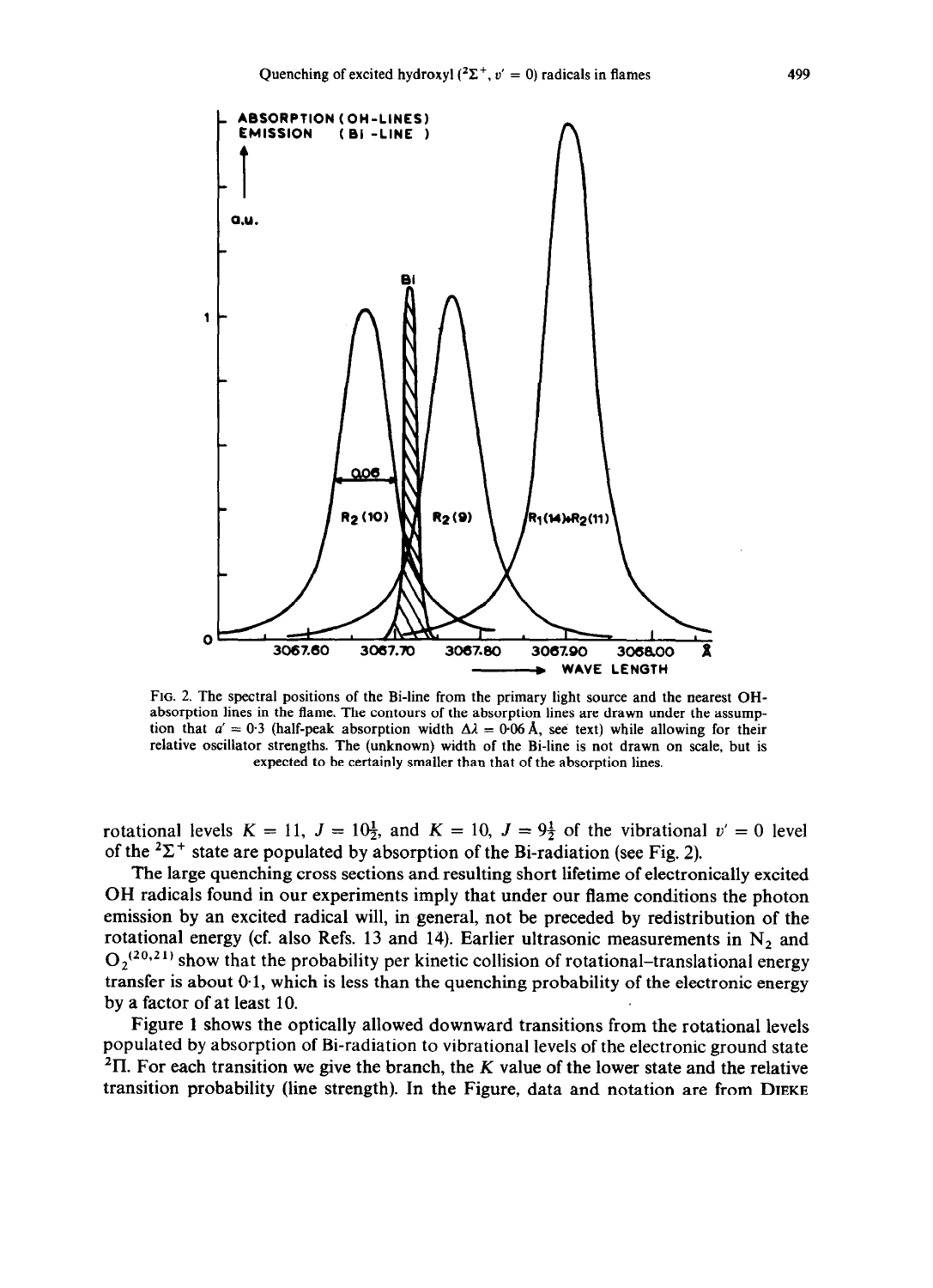

**FIG. 2.** The spectral positions of the Bi-line from the primary light source and the nearest OHabsorption lines in the flame. The contours of the absorption lines are drawn under the assumption that  $a' = 0.3$  (half-peak absorption width  $\Delta \lambda = 0.06$  Å, see text) while allowing for their relative oscillator strengths. The (unknown) width of the Bi-line is not drawn on scale, but is expected to be certainly smaller than that of the absorption lines.

rotational levels  $K = 11$ ,  $J = 10\frac{1}{2}$ , and  $K = 10$ ,  $J = 9\frac{1}{2}$  of the vibrational  $v' = 0$  level of the  ${}^{2}\Sigma^{+}$  state are populated by absorption of the Bi-radiation (see Fig. 2).

The large quenching cross sections and resulting short lifetime of electronically excited OH radicals found in our experiments imply that under our flame conditions the photon emission by an excited radical will, in general, not be preceded by redistribution of the rotational energy (cf. also Refs. 13 and 14). Earlier ultrasonic measurements in  $N_2$  and  $O_2^{(20,21)}$  show that the probability per kinetic collision of rotational-translational energy transfer is about  $0.1$ , which is less than the quenching probability of the electronic energy by a factor of at least 10.

Figure 1 shows the optically allowed downward transitions from the rotational levels populated by absorption of Bi-radiation to vibrational levels of the electronic ground state  ${}^{2}$ II. For each transition we give the branch, the K value of the lower state and the relative transition probability (line strength). In the Figure, data and notation are from **DIEKE**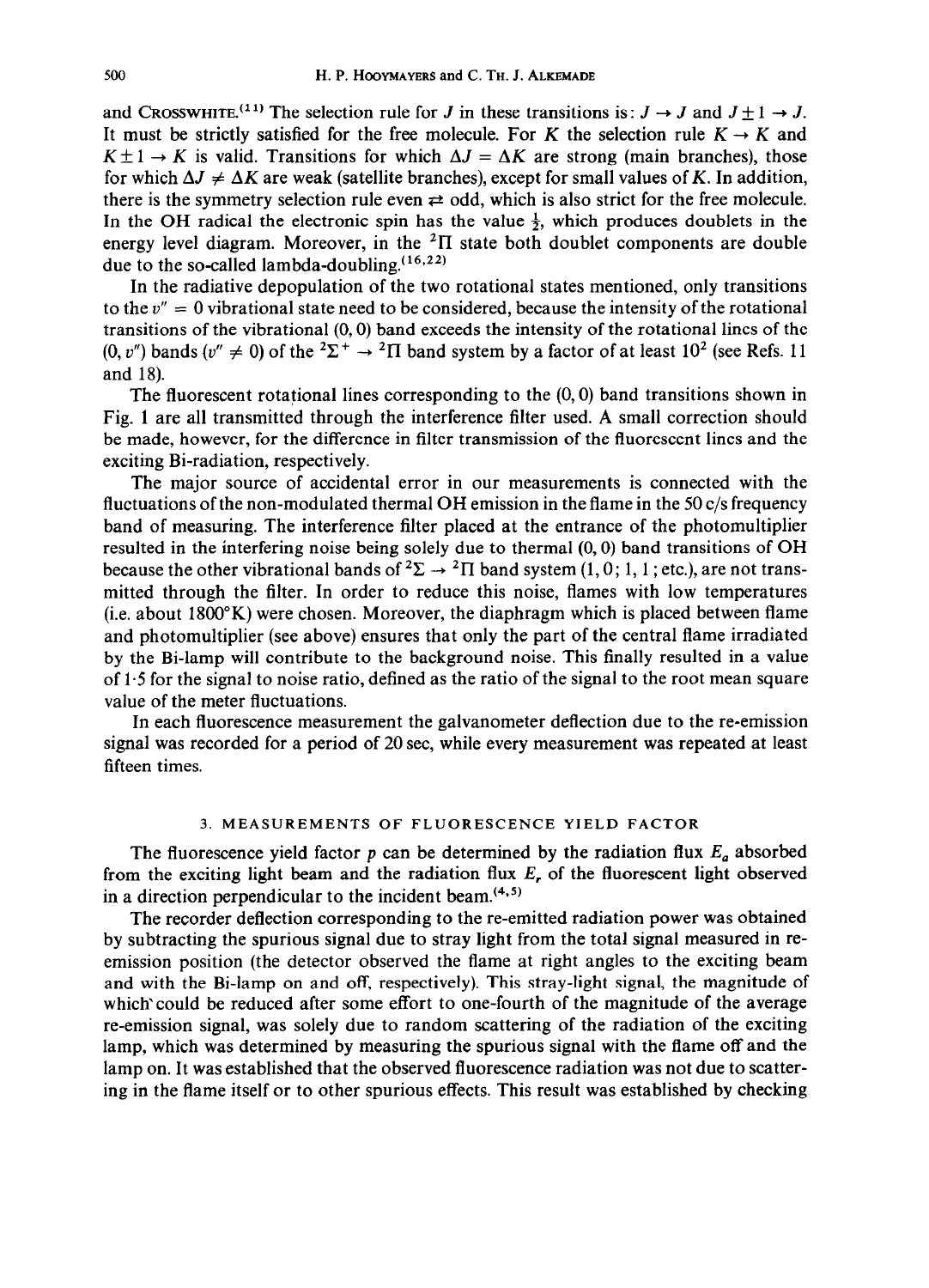and CROSSWHITE.<sup>(11)</sup> The selection rule for J in these transitions is :  $J \rightarrow J$  and  $J \pm 1 \rightarrow J$ . It must be strictly satisfied for the free molecule. For K the selection rule  $K \to K$  and  $K \pm 1 \rightarrow K$  is valid. Transitions for which  $\Delta J = \Delta K$  are strong (main branches), those for which  $\Delta J \neq \Delta K$  are weak (satellite branches), except for small values of *K*. In addition, there is the symmetry selection rule even  $\neq$  odd, which is also strict for the free molecule. In the OH radical the electronic spin has the value  $\frac{1}{2}$ , which produces doublets in the energy level diagram. Moreover, in the  ${}^{2}$ II state both doublet components are double due to the so-called lambda-doubling.  $(16,22)$ 

In the radiative depopulation of the two rotational states mentioned, only transitions to the  $v'' = 0$  vibrational state need to be considered, because the intensity of the rotational transitions of the vibrational (0,O) band exceeds the intensity of the rotational lines of the  $(0, v'')$  bands  $(v'' \neq 0)$  of the  ${}^{2}\Sigma^{+} \rightarrow {}^{2}\Pi$  band system by a factor of at least 10<sup>2</sup> (see Refs. 11) and 18).

The fluorescent rotational lines corresponding to the  $(0, 0)$  band transitions shown in Fig. 1 are all transmitted through the interference filter used. A small correction should be made, however, for the difference in filter transmission of the fluorescent lines and the exciting Bi-radiation, respectively.

The major source of accidental error in our measurements is connected with the fluctuations of the non-modulated thermal OH emission in the flame in the 50  $c/s$  frequency band of measuring. The interference filter placed at the entrance of the photomultiplier resulted in the interfering noise being solely due to thermal (0,O) band transitions of OH because the other vibrational bands of  ${}^2\Sigma \rightarrow {}^2\Pi$  band system (1, 0; 1, 1; etc.), are not transmitted through the filter. In order to reduce this noise, flames with low temperatures (i.e. about 1800°K) were chosen. Moreover, the diaphragm which is placed between flame and photomultiplier (see above) ensures that only the part of the central flame irradiated by the Bi-lamp will contribute to the background noise. This finally resulted in a value of 1.5 for the signal to noise ratio, defined as the ratio of the signal to the root mean square value of the meter fluctuations.

In each fluorescence measurement the galvanometer deflection due to the re-emission signal was recorded for a period of 20 sec, while every measurement was repeated at least fifteen times.

## **3. MEASUREMENTS OF FLUORESCENCE YIELD FACTOR**

The fluorescence yield factor  $p$  can be determined by the radiation flux  $E_a$  absorbed from the exciting light beam and the radiation flux *E,* of the fluorescent light observed in a direction perpendicular to the incident beam. $(4,5)$ 

The recorder deflection corresponding to the re-emitted radiation power was obtained by subtracting the spurious signal due to stray light from the total signal measured in reemission position (the detector observed the flame at right angles to the exciting beam and with the Bi-lamp on and off, respectively). This stray-light signal, the magnitude of which' could be reduced after some effort to one-fourth of the magnitude of the average re-emission signal, was solely due to random scattering of the radiation of the exciting lamp, which was determined by measuring the spurious signal with the flame off and the lamp on. It was established that the observed fluorescence radiation was not due to scattering in the flame itself or to other spurious effects. This result was established by checking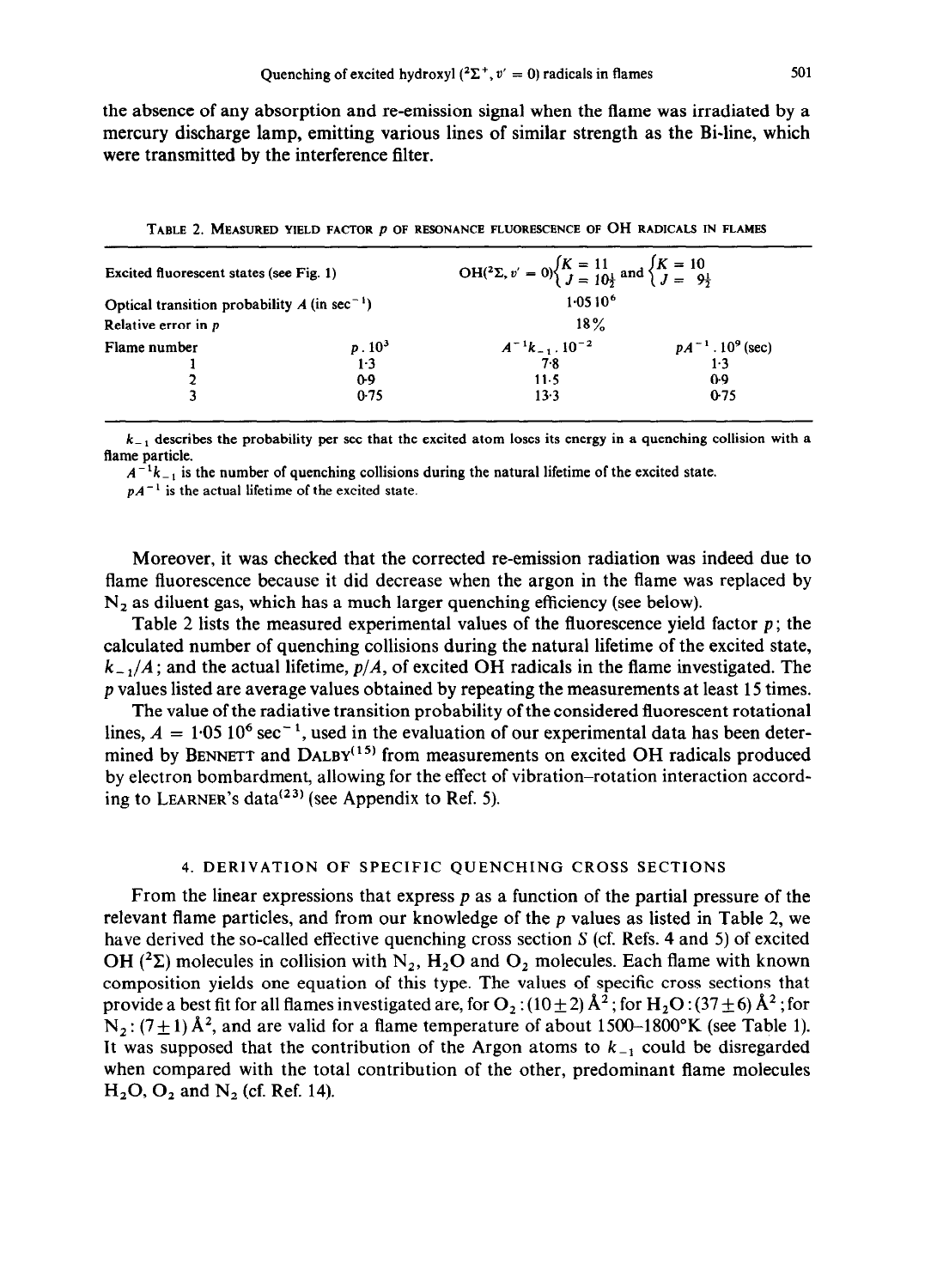the absence of any absorption and re-emission signal when the flame was irradiated by a mercury discharge lamp, emitting various lines of similar strength as the Bi-line, which were transmitted by the interference filter.

| Excited fluorescent states (see Fig. 1)                    |                      | OH( <sup>2</sup> Σ, v' = 0) $\begin{cases} K = 11 \\ J = 10\frac{1}{2} \end{cases}$ and $\begin{cases} K = 10 \\ J = 9\frac{1}{2} \end{cases}$ |                                   |  |
|------------------------------------------------------------|----------------------|------------------------------------------------------------------------------------------------------------------------------------------------|-----------------------------------|--|
| Optical transition probability $A$ (in sec <sup>-1</sup> ) |                      | $1.0510^{6}$                                                                                                                                   |                                   |  |
| Relative error in p                                        |                      | $18\%$                                                                                                                                         |                                   |  |
| Flame number                                               |                      | $A^{-1}k_{-1}$ . $10^{-2}$<br>7.8                                                                                                              | $pA^{-1} \cdot 10^9$ (sec)<br>1.3 |  |
|                                                            | $\frac{p.10^3}{1.3}$ |                                                                                                                                                |                                   |  |
|                                                            | 0.9                  | $11-5$                                                                                                                                         | 09                                |  |
|                                                            | 0.75                 | 13.3                                                                                                                                           | $0-75$                            |  |

**TABLE 2. MEASURED YIELD FACTOR p OF RESONANCE FLUORESCENCE OF OH RADICALS IN FLAMES** 

 $k_{-1}$  describes the probability per sec that the excited atom loses its energy in a quenching collision with a **flame particle.** 

 $A^{-1}k_{-1}$  is the number of quenching collisions during the natural lifetime of the excited state.

 $pA^{-1}$  is the actual lifetime of the excited state.

Moreover, it was checked that the corrected re-emission radiation was indeed due to flame fluorescence because it did decrease when the argon in the flame was replaced by  $N<sub>2</sub>$  as diluent gas, which has a much larger quenching efficiency (see below).

Table 2 lists the measured experimental values of the fluorescence yield factor  $p$ ; the calculated number of quenching collisions during the natural lifetime of the excited state,  $k_{-1}/A$ ; and the actual lifetime,  $p/A$ , of excited OH radicals in the flame investigated. The p values listed are average values obtained by repeating the measurements at least 15 times.

The value of the radiative transition probability of the considered fluorescent rotational lines,  $A = 1.05 \times 10^6 \text{ sec}^{-1}$ , used in the evaluation of our experimental data has been determined by **BENNETT** and  $\text{DALBY}^{(15)}$  from measurements on excited OH radicals produced by electron bombardment, allowing for the effect of vibration-rotation interaction according to LEARNER's data<sup> $(23)$ </sup> (see Appendix to Ref. 5).

## **4. DERlVATION OF SPECIFIC QUENCHING CROSS SECTIONS**

From the linear expressions that express  $p$  as a function of the partial pressure of the relevant flame particles, and from our knowledge of the  $p$  values as listed in Table 2, we have derived the so-called effective quenching cross section  $S$  (cf. Refs. 4 and 5) of excited OH ( ${}^{2}\Sigma$ ) molecules in collision with N<sub>2</sub>, H<sub>2</sub>O and O<sub>2</sub> molecules. Each flame with known composition yields one equation of this type. The values of specific cross sections that provide a best fit for all flames investigated are, for  $O_2$ : (10  $\pm$  2)  $\AA^2$ ; for H<sub>2</sub>O: (37  $\pm$  6)  $\AA^2$ ; for  $N_2$ : (7  $\pm$  1) Å<sup>2</sup>, and are valid for a flame temperature of about 1500-1800°K (see Table 1). It was supposed that the contribution of the Argon atoms to  $k_{-1}$  could be disregarded when compared with the total contribution of the other, predominant flame molecules  $H<sub>2</sub>O$ ,  $O<sub>2</sub>$  and  $N<sub>2</sub>$  (cf. Ref. 14).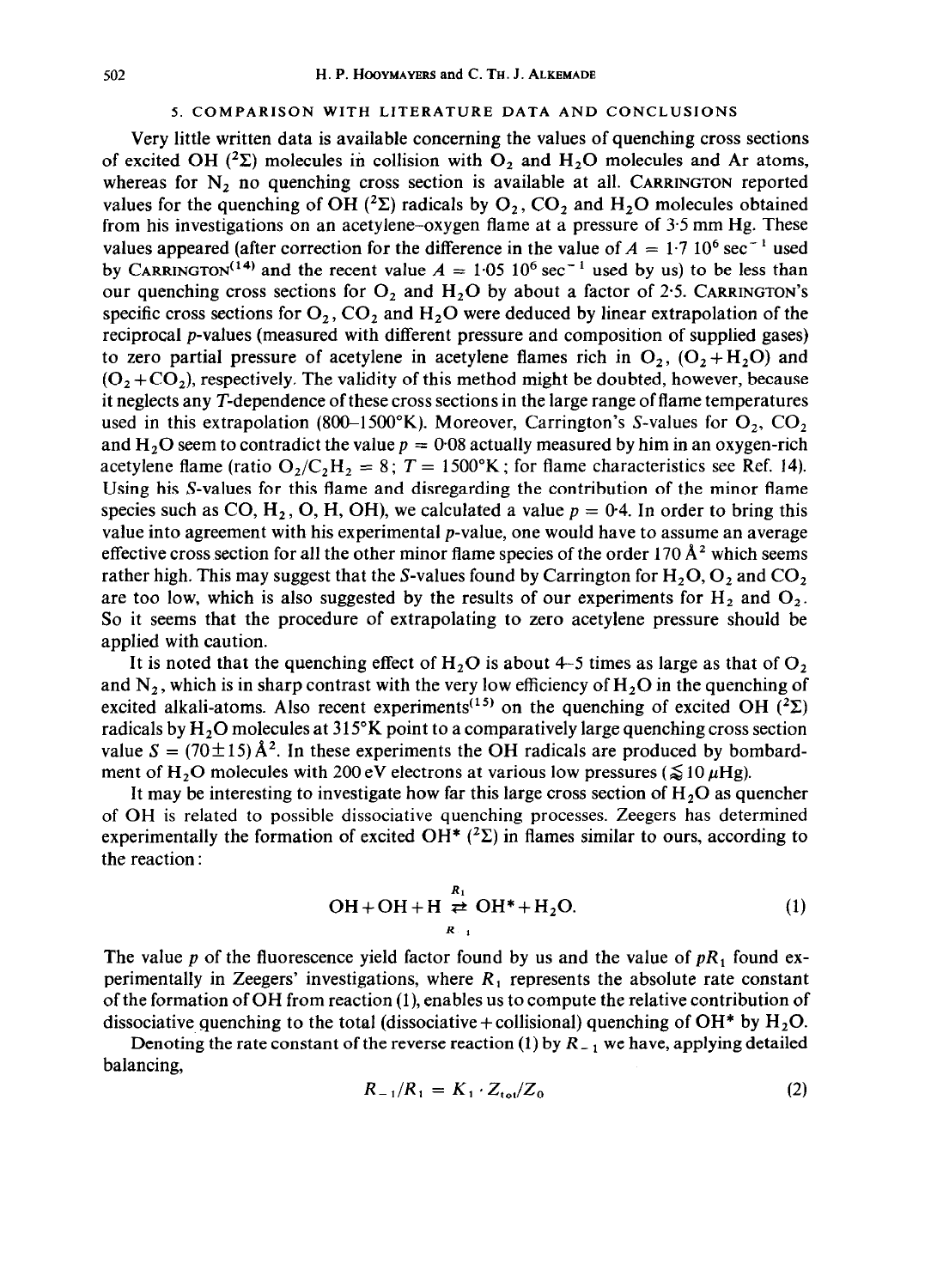#### 5. COMPARISON WITH LITERATURE DATA AND CONCLUSIONS

Very little written data is available concerning the values of quenching cross sections of excited OH ( ${}^{2}\Sigma$ ) molecules in collision with O<sub>2</sub> and H<sub>2</sub>O molecules and Ar atoms, whereas for  $N_2$  no quenching cross section is available at all. CARRINGTON reported values for the quenching of OH (<sup>2</sup> $\Sigma$ ) radicals by O<sub>2</sub>, CO<sub>2</sub> and H<sub>2</sub>O molecules obtained from his investigations on an acetylene-oxygen flame at a pressure of 3.5 mm Hg. These values appeared (after correction for the difference in the value of  $A = 1.7 10^6 \text{ sec}^{-1}$  used by CARRINGTON<sup>(14)</sup> and the recent value  $A = 1.05 \times 10^6 \text{ sec}^{-1}$  used by us) to be less than our quenching cross sections for  $O_2$  and  $H_2O$  by about a factor of 2.5. CARRINGTON's specific cross sections for  $O_2$ ,  $CO_2$  and  $H_2O$  were deduced by linear extrapolation of the reciprocal p-values (measured with different pressure and composition of supplied gases) to zero partial pressure of acetylene in acetylene flames rich in  $O_2$ ,  $(O_2 + H_2O)$  and  $(O_2 + CO_2)$ , respectively. The validity of this method might be doubted, however, because it neglects any T-dependence of these cross sections in the large range of flame temperatures used in this extrapolation (800–1500°K). Moreover, Carrington's S-values for  $O_2$ ,  $CO_2$ and H<sub>2</sub>O seem to contradict the value  $p = 0.08$  actually measured by him in an oxygen-rich acetylene flame (ratio  $O_2/C_2H_2 = 8$ ;  $T = 1500^\circ$ K; for flame characteristics see Ref. 14). Using his S-values for this flame and disregarding the contribution of the minor flame species such as CO,  $H_2$ , O, H, OH), we calculated a value  $p = 0.4$ . In order to bring this value into agreement with his experimental p-value, one would have to assume an average effective cross section for all the other minor flame species of the order 170  $\AA$ <sup>2</sup> which seems rather high. This may suggest that the S-values found by Carrington for  $H_2O$ ,  $O_2$  and  $CO_2$ are too low, which is also suggested by the results of our experiments for  $H_2$  and  $O_2$ . So it seems that the procedure of extrapolating to zero acetylene pressure should be applied with caution.

It is noted that the quenching effect of  $H_2O$  is about 4-5 times as large as that of  $O_2$ and  $N_2$ , which is in sharp contrast with the very low efficiency of  $H_2O$  in the quenching of excited alkali-atoms. Also recent experiments<sup>(15)</sup> on the quenching of excited OH (<sup>2</sup> $\Sigma$ ) radicals by  $H_2O$  molecules at 315°K point to a comparatively large quenching cross section value  $S = (70 \pm 15) \hat{A}^2$ . In these experiments the OH radicals are produced by bombardment of H<sub>2</sub>O molecules with 200 eV electrons at various low pressures ( $\lessapprox 10 \,\mu$ Hg).

It may be interesting to investigate how far this large cross section of  $H<sub>2</sub>O$  as quencher of OH is related to possible dissociative quenching processes. Zeegers has determined experimentally the formation of excited OH\* ( ${}^{2}\Sigma$ ) in flames similar to ours, according to the reaction :

$$
OH + OH + H \underset{R_{-1}}{\overset{R_1}{\rightleftharpoons}} OH^* + H_2O. \tag{1}
$$

The value p of the fluorescence yield factor found by us and the value of  $pR_1$  found experimentally in Zeegers' investigations, where *R,* represents the absolute rate constant of the formation of OH from reaction (l), enables us to compute the relative contribution of dissociative quenching to the total (dissociative + collisional) quenching of  $OH^*$  by  $H_2O$ .

Denoting the rate constant of the reverse reaction (1) by *R\_ 1 we* have, applying detailed balancing,

$$
R_{-1}/R_1 = K_1 \cdot Z_{\text{tot}}/Z_0 \tag{2}
$$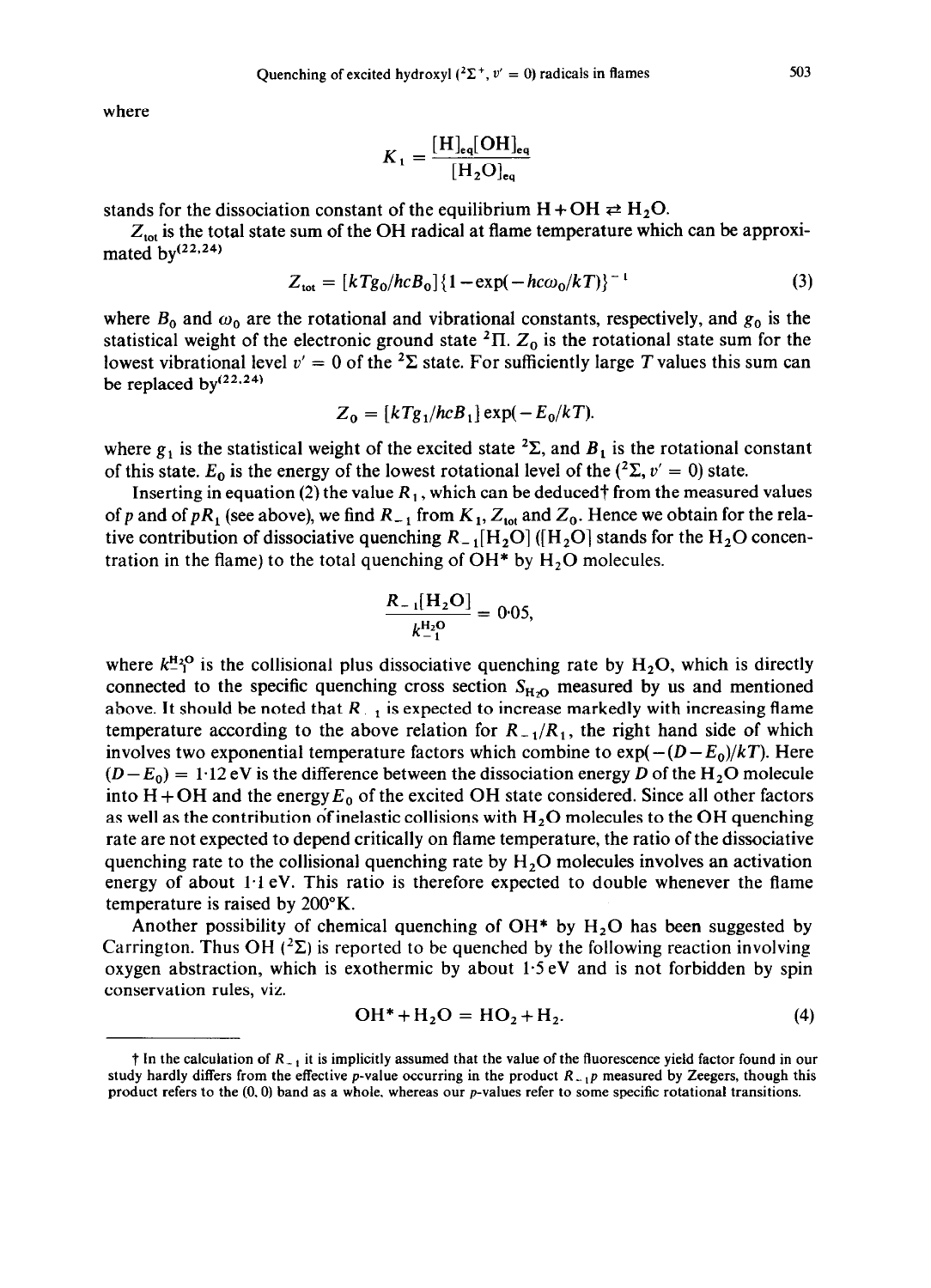where

$$
K_1 = \frac{[\text{H}]_{\text{eq}}[\text{OH}]_{\text{eq}}}{[\text{H}_2\text{O}]_{\text{eq}}}
$$

stands for the dissociation constant of the equilibrium  $H + OH \rightleftarrows H_2O$ .

 $Z_{\text{tot}}$  is the total state sum of the OH radical at flame temperature which can be approximated  $bv^{(22,24)}$ 

$$
Z_{\text{tot}} = [kTg_0/hcB_0]\{1 - \exp(-hc\omega_0/kT)\}^{-1}
$$
 (3)

where  $B_0$  and  $\omega_0$  are the rotational and vibrational constants, respectively, and  $g_0$  is the statistical weight of the electronic ground state  $T<sub>1</sub>$ ,  $Z<sub>0</sub>$  is the rotational state sum for the lowest vibrational level  $v' = 0$  of the <sup>2</sup> $\Sigma$  state. For sufficiently large *T* values this sum can be replaced by $(22,24)$ 

$$
Z_0 = [kTg_1/hcB_1] \exp(-E_0/kT).
$$

where  $g_1$  is the statistical weight of the excited state <sup>2</sup> $\Sigma$ , and  $B_1$  is the rotational constant of this state.  $E_0$  is the energy of the lowest rotational level of the (<sup>2</sup> $\Sigma$ , v' = 0) state.

Inserting in equation (2) the value  $R_1$ , which can be deduced† from the measured values of p and of pR<sub>1</sub> (see above), we find  $R_{-1}$  from  $K_1$ ,  $Z_{\text{tot}}$  and  $Z_0$ . Hence we obtain for the relative contribution of dissociative quenching  $R_{-1}[H_2O]$  ( $[H_2O]$  stands for the  $H_2O$  concentration in the flame) to the total quenching of  $OH*$  by  $H<sub>2</sub>O$  molecules.

$$
\frac{R_{-1}[H_2O]}{k_{-1}^{\mathrm{H}_2O}} = 0.05,
$$

where  $k_{\text{I}}^{\text{H}_2O}$  is the collisional plus dissociative quenching rate by  $H_2O$ , which is directly connected to the specific quenching cross section  $S_{H<sub>2</sub>}$  measured by us and mentioned above. It should be noted that  $R_{-1}$  is expected to increase markedly with increasing flame temperature according to the above relation for  $R_{-1}/R_1$ , the right hand side of which involves two exponential temperature factors which combine to  $\exp(-(D - E_0)/kT)$ . Here  $(D-E_0) = 1.12$  eV is the difference between the dissociation energy *D* of the H<sub>2</sub>O molecule into  $H + OH$  and the energy  $E_0$  of the excited OH state considered. Since all other factors as well as the contribution of inelastic collisions with  $H_2O$  molecules to the OH quenching rate are not expected to depend critically on flame temperature, the ratio of the dissociative quenching rate to the collisional quenching rate by  $H<sub>2</sub>O$  molecules involves an activation energy of about  $1.1$  eV. This ratio is therefore expected to double whenever the flame temperature is raised by 200°K.

Another possibility of chemical quenching of  $OH^*$  by  $H_2O$  has been suggested by Carrington. Thus OH  $({}^{2}\Sigma)$  is reported to be quenched by the following reaction involving oxygen abstraction, which is exothermic by about 1.5 eV and is not forbidden by spin conservation rules, viz.

$$
OH^* + H_2O = HO_2 + H_2. \tag{4}
$$

 $\dagger$  In the calculation of  $R_{-1}$  it is implicitly assumed that the value of the fluorescence yield factor found in our study hardly differs from the effective p-value occurring in the product  $R_{-1}p$  measured by Zeegers, though this product refers to the  $(0,0)$  band as a whole, whereas our p-values refer to some specific rotational transitions.